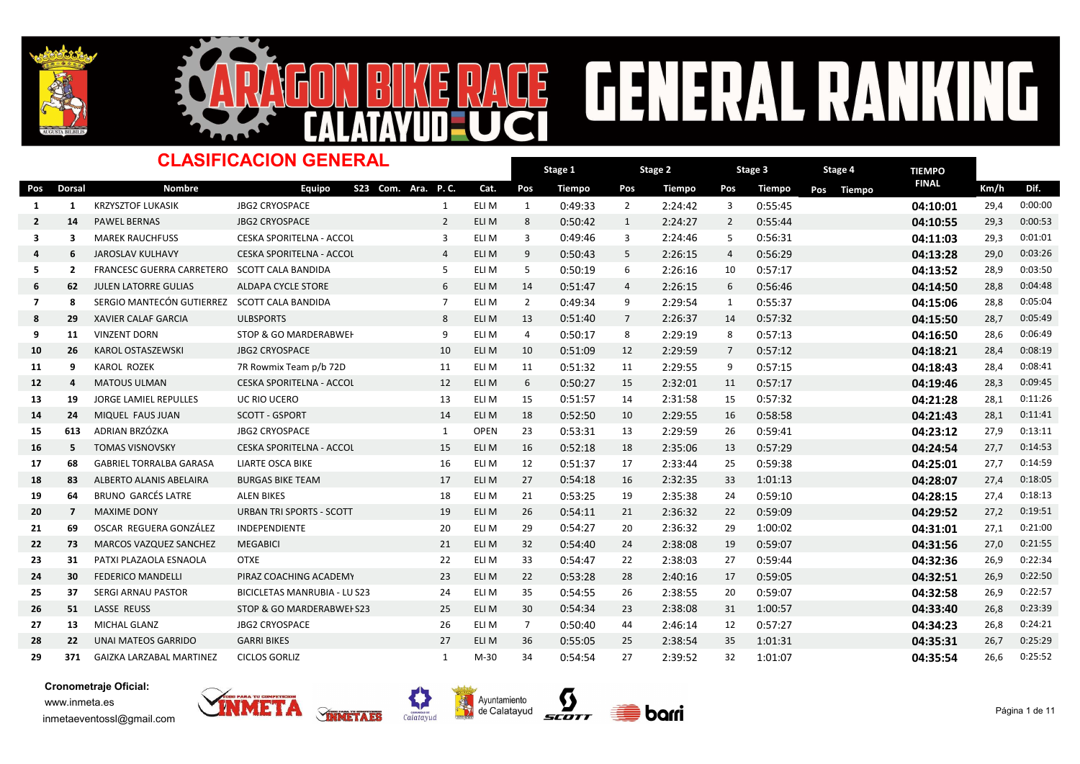



### **GENERAL RA** NG E  $\frac{1}{2}$

| <b>CLASIFICACION GENERAL</b> |                |                                              |                                  |                |             |                |               |                |               |                |         |               |              |      |         |
|------------------------------|----------------|----------------------------------------------|----------------------------------|----------------|-------------|----------------|---------------|----------------|---------------|----------------|---------|---------------|--------------|------|---------|
|                              |                |                                              | Stage 1                          |                | Stage 2     |                | Stage 3       |                | Stage 4       | <b>TIEMPO</b>  |         |               |              |      |         |
| Pos                          | <b>Dorsal</b>  | <b>Nombre</b>                                | S23 Com. Ara. P.C.<br>Equipo     |                | Cat.        | Pos            | <b>Tiempo</b> | Pos            | <b>Tiempo</b> | Pos            | Tiempo  | Pos<br>Tiempo | <b>FINAL</b> | Km/h | Dif.    |
| -1                           | 1              | <b>KRZYSZTOF LUKASIK</b>                     | <b>JBG2 CRYOSPACE</b>            | 1              | ELI M       | $\mathbf{1}$   | 0:49:33       | $\overline{2}$ | 2:24:42       | 3              | 0:55:45 |               | 04:10:01     | 29,4 | 0:00:00 |
| $\overline{2}$               | 14             | <b>PAWEL BERNAS</b>                          | <b>JBG2 CRYOSPACE</b>            | 2              | ELI M       | 8              | 0:50:42       | $\mathbf{1}$   | 2:24:27       | 2              | 0:55:44 |               | 04:10:55     | 29,3 | 0:00:53 |
| 3                            | 3              | <b>MAREK RAUCHFUSS</b>                       | <b>CESKA SPORITELNA - ACCOL</b>  | 3              | ELI M       | 3              | 0:49:46       | 3              | 2:24:46       | 5              | 0:56:31 |               | 04:11:03     | 29,3 | 0:01:01 |
| 4                            | 6              | <b>JAROSLAV KULHAVY</b>                      | CESKA SPORITELNA - ACCOL         | $\overline{4}$ | ELI M       | 9              | 0:50:43       | 5              | 2:26:15       | $\overline{4}$ | 0:56:29 |               | 04:13:28     | 29,0 | 0:03:26 |
| -5                           | $\overline{2}$ | FRANCESC GUERRA CARRETERO SCOTT CALA BANDIDA |                                  | 5              | ELI M       | 5              | 0:50:19       | 6              | 2:26:16       | 10             | 0:57:17 |               | 04:13:52     | 28,9 | 0:03:50 |
| 6                            | 62             | <b>JULEN LATORRE GULIAS</b>                  | <b>ALDAPA CYCLE STORE</b>        | 6              | ELI M       | 14             | 0:51:47       | $\overline{4}$ | 2:26:15       | 6              | 0:56:46 |               | 04:14:50     | 28,8 | 0:04:48 |
| 7                            | 8              | SERGIO MANTECÓN GUTIERREZ SCOTT CALA BANDIDA |                                  | $\overline{7}$ | ELI M       | $\overline{2}$ | 0:49:34       | 9              | 2:29:54       | 1              | 0:55:37 |               | 04:15:06     | 28,8 | 0:05:04 |
| 8                            | 29             | <b>XAVIER CALAF GARCIA</b>                   | <b>ULBSPORTS</b>                 | 8              | ELI M       | 13             | 0:51:40       | $\overline{7}$ | 2:26:37       | 14             | 0:57:32 |               | 04:15:50     | 28,7 | 0:05:49 |
| 9                            | 11             | <b>VINZENT DORN</b>                          | <b>STOP &amp; GO MARDERABWEH</b> | 9              | ELI M       | 4              | 0:50:17       | 8              | 2:29:19       | 8              | 0:57:13 |               | 04:16:50     | 28,6 | 0:06:49 |
| 10                           | 26             | KAROL OSTASZEWSKI                            | <b>JBG2 CRYOSPACE</b>            | 10             | ELI M       | 10             | 0:51:09       | 12             | 2:29:59       | $\overline{7}$ | 0:57:12 |               | 04:18:21     | 28,4 | 0:08:19 |
| 11                           | 9              | <b>KAROL ROZEK</b>                           | 7R Rowmix Team p/b 72D           | 11             | ELI M       | 11             | 0:51:32       | 11             | 2:29:55       | 9              | 0:57:15 |               | 04:18:43     | 28,4 | 0:08:41 |
| 12                           | 4              | <b>MATOUS ULMAN</b>                          | <b>CESKA SPORITELNA - ACCOL</b>  | 12             | ELI M       | 6              | 0:50:27       | 15             | 2:32:01       | 11             | 0:57:17 |               | 04:19:46     | 28,3 | 0:09:45 |
| 13                           | 19             | <b>JORGE LAMIEL REPULLES</b>                 | UC RIO UCERO                     | 13             | ELI M       | 15             | 0:51:57       | 14             | 2:31:58       | 15             | 0:57:32 |               | 04:21:28     | 28,1 | 0:11:26 |
| 14                           | 24             | MIQUEL FAUS JUAN                             | <b>SCOTT - GSPORT</b>            | 14             | ELI M       | 18             | 0:52:50       | 10             | 2:29:55       | 16             | 0:58:58 |               | 04:21:43     | 28,1 | 0:11:41 |
| 15                           | 613            | ADRIAN BRZÓZKA                               | <b>JBG2 CRYOSPACE</b>            | 1              | <b>OPEN</b> | 23             | 0:53:31       | 13             | 2:29:59       | 26             | 0:59:41 |               | 04:23:12     | 27,9 | 0:13:11 |
| 16                           | 5              | <b>TOMAS VISNOVSKY</b>                       | CESKA SPORITELNA - ACCOL         | 15             | ELI M       | 16             | 0:52:18       | 18             | 2:35:06       | 13             | 0:57:29 |               | 04:24:54     | 27,7 | 0:14:53 |
| 17                           | 68             | <b>GABRIEL TORRALBA GARASA</b>               | <b>LIARTE OSCA BIKE</b>          | 16             | ELI M       | 12             | 0:51:37       | 17             | 2:33:44       | 25             | 0:59:38 |               | 04:25:01     | 27,7 | 0:14:59 |
| 18                           | 83             | ALBERTO ALANIS ABELAIRA                      | <b>BURGAS BIKE TEAM</b>          | 17             | ELI M       | 27             | 0:54:18       | 16             | 2:32:35       | 33             | 1:01:13 |               | 04:28:07     | 27,4 | 0:18:05 |
| 19                           | 64             | <b>BRUNO GARCÉS LATRE</b>                    | <b>ALEN BIKES</b>                | 18             | ELI M       | 21             | 0:53:25       | 19             | 2:35:38       | 24             | 0:59:10 |               | 04:28:15     | 27,4 | 0:18:13 |
| 20                           | $\overline{7}$ | <b>MAXIME DONY</b>                           | <b>URBAN TRI SPORTS - SCOTT</b>  | 19             | ELI M       | 26             | 0:54:11       | 21             | 2:36:32       | 22             | 0:59:09 |               | 04:29:52     | 27,2 | 0:19:51 |
| 21                           | 69             | OSCAR REGUERA GONZÁLEZ                       | <b>INDEPENDIENTE</b>             | 20             | ELI M       | 29             | 0:54:27       | 20             | 2:36:32       | 29             | 1:00:02 |               | 04:31:01     | 27,1 | 0:21:00 |
| 22                           | 73             | <b>MARCOS VAZQUEZ SANCHEZ</b>                | <b>MEGABICI</b>                  | 21             | ELI M       | 32             | 0:54:40       | 24             | 2:38:08       | 19             | 0:59:07 |               | 04:31:56     | 27,0 | 0:21:55 |
| 23                           | 31             | PATXI PLAZAOLA ESNAOLA                       | <b>OTXE</b>                      | 22             | ELI M       | 33             | 0:54:47       | 22             | 2:38:03       | 27             | 0:59:44 |               | 04:32:36     | 26,9 | 0:22:34 |
| 24                           | 30             | <b>FEDERICO MANDELLI</b>                     | PIRAZ COACHING ACADEMY           | 23             | ELI M       | 22             | 0:53:28       | 28             | 2:40:16       | 17             | 0:59:05 |               | 04:32:51     | 26,9 | 0:22:50 |
| 25                           | 37             | <b>SERGI ARNAU PASTOR</b>                    | BICICLETAS MANRUBIA - LU S23     | 24             | ELI M       | 35             | 0:54:55       | 26             | 2:38:55       | 20             | 0:59:07 |               | 04:32:58     | 26,9 | 0:22:57 |
| 26                           | 51             | <b>LASSE REUSS</b>                           | STOP & GO MARDERABWEI S23        | 25             | ELI M       | 30             | 0:54:34       | 23             | 2:38:08       | 31             | 1:00:57 |               | 04:33:40     | 26,8 | 0:23:39 |
| 27                           | 13             | <b>MICHAL GLANZ</b>                          | <b>JBG2 CRYOSPACE</b>            | 26             | ELI M       | $\overline{7}$ | 0:50:40       | 44             | 2:46:14       | 12             | 0:57:27 |               | 04:34:23     | 26,8 | 0:24:21 |
| 28                           | 22             | <b>UNAI MATEOS GARRIDO</b>                   | <b>GARRI BIKES</b>               | 27             | ELI M       | 36             | 0:55:05       | 25             | 2:38:54       | 35             | 1:01:31 |               | 04:35:31     | 26,7 | 0:25:29 |
| 29                           | 371            | <b>GAIZKA LARZABAL MARTINEZ</b>              | <b>CICLOS GORLIZ</b>             | $\mathbf{1}$   | M-30        | 34             | 0:54:54       | 27             | 2:39:52       | 32             | 1:01:07 |               | 04:35:54     | 26,6 | 0:25:52 |

Ц







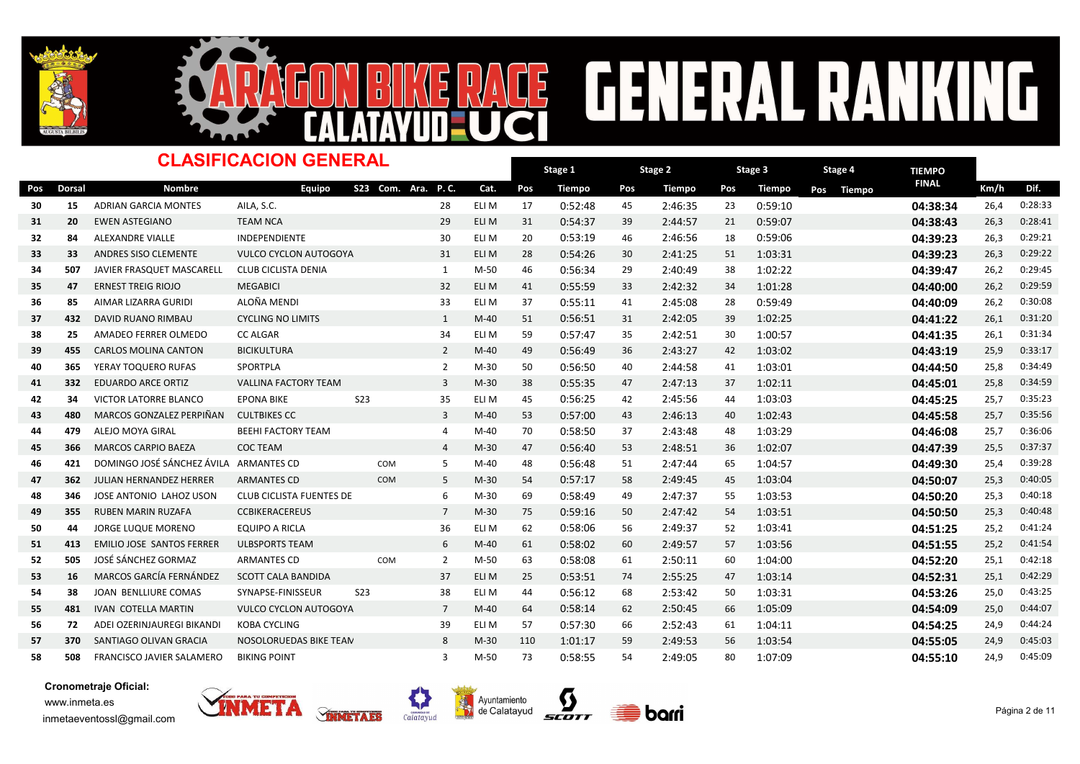



### Dorsal Nombre TIEMPO -<br>Pos Dorsal Nombre Equipo S23 Com. Ara. P.C. Cat. Pos Tiempo Pos Tiempo Pos Tiempo Pos Tiempo <sup>FINAL</sup> Km/h Dif. Stage 1 Pos Tiempo Pos Tiempo Pos Tiempo Pos Tiempo Dinalel Km/h Stage 2 Pos Tiempo Stage 3 Pos Tiempo CLASIFICACION GENERAL S23 Com. Ara. P. C. Stage 4 30 15 ADRIAN GARCIA MONTES AILA, S.C. 20 28 ELI M 17 0:52:48 45 2:46:35 23 0:59:10 20:38:34 26,4 0:28:33 <sup>31</sup> <sup>20</sup> EWEN ASTEGIANO TEAM NCA ELI M 31 <sup>29</sup> 0:54:37 <sup>39</sup> 2:44:57 <sup>21</sup> 0:59:07 04:38:43 26,3 0:28:41 <sup>32</sup> <sup>84</sup> ALEXANDRE VIALLE INDEPENDIENTE ELI M 20 <sup>30</sup> 0:53:19 <sup>46</sup> 2:46:56 <sup>18</sup> 0:59:06 04:39:23 26,3 0:29:21 33 33 ANDRES SISO CLEMENTE VULCO CYCLON AUTOGOYA 31 ELI M 28 0:54:26 30 2:41:25 51 1:03:31 11:03:31 **04:39:23** 26,3 0:29:22 <sup>34</sup> <sup>507</sup> JAVIER FRASQUET MASCARELL CLUB CICLISTA DENIA M-50 46 <sup>1</sup> 0:56:34 <sup>29</sup> 2:40:49 <sup>38</sup> 1:02:22 04:39:47 26,2 0:29:45 <sup>35</sup> <sup>47</sup> ERNEST TREIG RIOJO MEGABICI ELI M 41 <sup>32</sup> 0:55:59 <sup>33</sup> 2:42:32 <sup>34</sup> 1:01:28 04:40:00 26,2 0:29:59 <sup>36</sup> <sup>85</sup> AIMAR LIZARRA GURIDI ALOÑA MENDI ELI M 37 <sup>33</sup> 0:55:11 <sup>41</sup> 2:45:08 <sup>28</sup> 0:59:49 04:40:09 26,2 0:30:08 37 432 DAVID RUANO RIMBAU CYCLING NO LIMITS 1 M-40 51 0:56:51 31 2:42:05 39 1:02:25 **04:41:22** 26,1 0:31:20 38 25 AMADEO FERRER OLMEDO CC ALGAR **ELI M 34 ELI M 59 0:57:47 35 2:42:51 30** 1:00:57 **11 1:00:57 04:41:35** 26,1 0:31:34 39 455 CARLOS MOLINA CANTON BICIKULTURA 19 140 49 0:56:49 36 2:43:27 42 1:03:02 04**:43:19** 25,9 0:33:17 40 365 YERAY TOQUERO RUFAS SPORTPLA (2 M-30 50 0:56:50 40 2:44:58 41 1:03:01 04:44:50 25,8 0:34:49 41 332 EDUARDO ARCE ORTIZ VALLINA FACTORY TEAM 3 M-30 38 0:55:35 47 2:47:13 37 1:02:11 **04:45:01** 25,8 0:34:59 42 34 VICTORILATORRE BLANCO EPONA BIKE S23 35 ELI M 45 0:56:25 42 2:45:56 44 1:03:03 04:45:25 25,7 0:35:23 43 480 MARCOS GONZALEZ PERPIÑAN CULTBIKES CC **M-40 53 M-40 53 0:57:00 43** 2:46:13 40 1:02:43 **04:45:58 04:45:58** 25,7 0:35:56 44 479 ALEJO<code>MOYA</code> GIRAL BEEHI FACTORY TEAM  $\,$  4 M-40 70 0:58:50 37 2:43:48 48 1:03:29  $\,$  **04:46:08** 25,7 0:36:06 45 366 MARCOS CARPIO BAEZA COC TEAM **Mateura 20 12 4 M-30 47 0:56:40** 53 2:48:51 36 1:02:07 **04:47:39 04:47:39** 25,5 0:37:37 46 421 DOMINGOJOSÉ SÁNCHEZÁVILA ARMANTES CD COM 5 M-40 48 0:56:48 51 2:47:44 65 1:04:57 **04:49:30 04:49:30** 25.4 0:39:28 47 362 JULIAN HERNANDEZ HERRER ARMANTES CD COM 5 M-30 54 0:57:17 58 2:49:45 45 1:03:04 **04:50:07** 25,3 0:40:05 48 346 JOSE ANTONIO LAHOZ USON CLUB CICLISTA FUENTES DE EBRO 6 M-30 69 0:58:49 49 2:47:37 55 1:03:53 10:35 11:03:53 <sup>49</sup> <sup>355</sup> RUBEN MARIN RUZAFA CCBIKERACEREUS M-30 75 <sup>7</sup> 0:59:16 <sup>50</sup> 2:47:42 <sup>54</sup> 1:03:51 04:50:50 25,3 0:40:48 50 44 JORGE LUQUE MORENO EQUIPO A RICLA 2 25 6 ELI M 62 0:58:06 56 2:49:37 52 1:03:41 25 **04:51:25** 25,2 0:41:24 51 413 EMILIOJOSE SANTOS FERRER ULBSPORTS TEAM 6 6 M-40 61 0:58:02 60 2:49:57 57 1:03:56 **04:51:55 04:51:55** 25,2 52 505 JOSÉ SÁNCHEZ GORMAZ ARMANTES CD COM 2 M-50 63 0:58:08 61 2:50:11 60 1:04:00 **04:52:20 04:52:20** 25,1 0:42:18 53 16 MARCOS GARCÍA FERNÁNDEZ SCOTT CALA BANDIDA **ELI MEDEC 1989 1899 1899 1899 1899 1899 1** 1103:14 1103:14 **04:52:31** 25,1 0:42:29 54 38 JOAN BENLLIURE COMAS SYNAPSE-FINISSEUR S23 38 ELI M 44 0:56:12 68 2:53:42 50 1:03:31 04:53:26 04:53:26 25,0 0:43:25 55 481 IVAN COTELLA MARTIN VULCO CYCLON AUTOGOYA 7 M-40 64 0:58:14 62 2:50:45 66 1:05:09 01:54:09 04:54:09 25,0 0:44:07 <sup>56</sup> <sup>72</sup> ADEI OZERINJAUREGI BIKANDI KOBA CYCLING ELI M 57 <sup>39</sup> 0:57:30 <sup>66</sup> 2:52:43 <sup>61</sup> 1:04:11 04:54:25 24,9 0:44:24 57 370 SANTIAGO OLIVAN GRACIA NOSOLORUEDAS BIKE TEAN 8 M-30 110 1:01:17 59 2:49:53 56 1:03:54 **04:55:05 04:55:05** 24,9 0:45:03 58 508 FRANCISCO JAVIER SALAMERO BIKING POINT **MALE ANGLE 10:58:55** 54 3 0:58:55 54 3:49:05 80 1:07:09 01:55:10 04:55:10 24,9 0:45:09







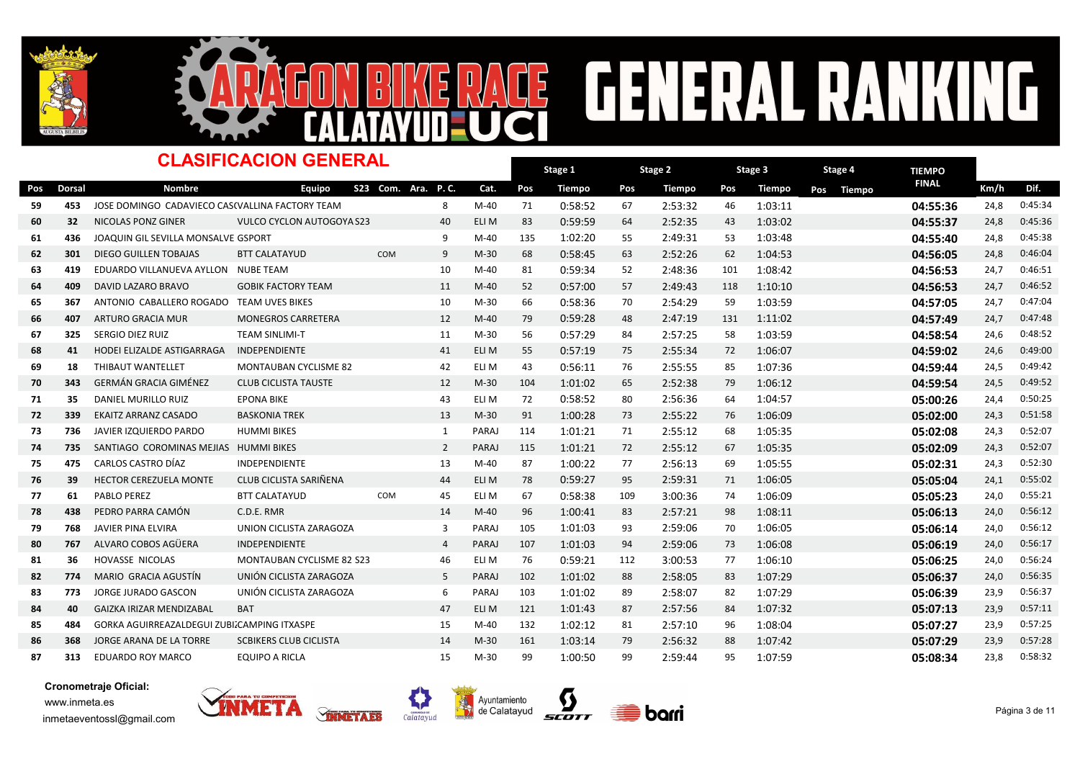



### Dorsal Nombre TIEMPO -<br>Pos Dorsal Nombre Equipo S23 Com. Ara. P.C. Cat. Pos Tiempo Pos Tiempo Pos Tiempo Pos Tiempo <sup>FINAL</sup> Km/h Dif. Stage 1 Pos Tiempo Pos Tiempo Pos Tiempo Pos Tiempo Dinalel Km/h Stage 2 Pos Tiempo Stage 3 Pos Tiempo CLASIFICACION GENERAL S23 Com. Ara. P. C. Stage 4 59 453 JOSE DOMINGO CADAVIECO CASCVALLINA FACTORY TEAM 8 M-40 71 0:58:52 67 2:53:32 46 1:03:11 04:55:36 24.8 0:45:34 60 32 NICOLAS PONZ GINER VULCO CYCLON AUTOGOYA S23 40 ELI M 83 0:59:59 64 2:52:35 43 1:03:02 04:55:37 24,8 0:45:36 61 436 JOAQUIN GIL SEVILLA MONSALVE GSPORT 61 645:38 M-40 135 1:02:20 55 2:49:31 53 1:03:48 **04:55:40 04:55:40** 24,8 0:45:38 62 301 DIEGO GUILLEN TOBAJAS BTT CALATAYUD COM 9 M-30 68 0:58:45 63 2:52:26 62 1:04:53 **04:56:05 04:56:05** 24,8 0:46:04 63 419 EDUARDO VILLANUEVA AYLLON NUBE TEAM **Mateur 10 5 40:59:34 52** 14:36 101 1:08:42 64:56:53 24,7 0:46:51 14:56:53 24,7 0:46:51 64 409 DAVID LAZARO BRAVO GOBIK FACTORY TEAM 11 M-40 52 0:57:00 57 2:49:43 118 1:10:10 **04:56:53** 24,7 0:46:52 65 367 ANTONIO CABALLERO ROGADO TEAM UVES BIKES 10 10 10 10-30 66 0:58:36 70 2:54:29 59 1:03:59 1:03:59 **04:57:05** 24.7 0:47:04 66 407 ARTURO GRACIA MUR MONEGROS CARRETERA 12 M-40 79 0:59:28 48 2:47:19 131 1:11:02 **04:57:49 04:57:49** 24,7 0:47:48 67 325 SERGIO DIEZ RUIZ TEAM SINLIMI-T 1 1 M-30 56 0:57:29 84 2:57:25 58 1:03:59 11 04:**58:54** 24,6 0:48:52 <sup>68</sup> <sup>41</sup> HODEI ELIZALDE ASTIGARRAGA INDEPENDIENTE ELI M 55 <sup>41</sup> 0:57:19 <sup>75</sup> 2:55:34 <sup>72</sup> 1:06:07 04:59:02 24,6 0:49:00 <sup>69</sup> <sup>18</sup> THIBAUT WANTELLET MONTAUBAN CYCLISME 82 ELI M 43 <sup>42</sup> 0:56:11 <sup>76</sup> 2:55:55 <sup>85</sup> 1:07:36 04:59:44 24,5 0:49:42 70 343 GERMÁN GRACIA GIMÉNEZ CLUB CICLISTA TAUSTE NA M-30 104 1:01:02 65 2:52:38 79 1:06:12 **04:59:54 04:59:54** 24,5 0:49:52 <sup>71</sup> <sup>35</sup> DANIEL MURILLO RUIZ EPONA BIKE ELI M 72 <sup>43</sup> 0:58:52 <sup>80</sup> 2:56:36 <sup>64</sup> 1:04:57 05:00:26 24,4 0:50:25 72 339 EKAITZ ARRANZ CASADO BASKONIA TREK 13 M-30 91 1:00:28 73 2:55:22 76 1:06:09 05:**02:00** 24,3 0:51:58 73 736 JAVIERIZQUIERDO<code>PARDO</code> HUMMI<code>BIKES</code> entitled to the paraj 114 1:01:21 71 2:55:12 68 1:05:35 05:02:08 05:02:08 24,3 0:52:07 <sup>74</sup> <sup>735</sup> SANTIAGO COROMINAS MEJIAS HUMMI BIKES PARAJ 115 <sup>2</sup> 1:01:21 <sup>72</sup> 2:55:12 <sup>67</sup> 1:05:35 05:02:09 24,3 0:52:07 <sup>75</sup> <sup>475</sup> CARLOS CASTRO DÍAZ INDEPENDIENTE M-40 87 <sup>13</sup> 1:00:22 <sup>77</sup> 2:56:13 <sup>69</sup> 1:05:55 05:02:31 24,3 0:52:30 <sup>76</sup> <sup>39</sup> HECTOR CEREZUELA MONTE CLUB CICLISTA SARIÑENA ELI M 78 <sup>44</sup> 0:59:27 <sup>95</sup> 2:59:31 <sup>71</sup> 1:06:05 05:05:04 24,1 0:55:02 <sup>77</sup> <sup>61</sup> PABLO PEREZ BTT CALATAYUD ELI M 67 COM <sup>45</sup> 0:58:38 <sup>109</sup> 3:00:36 <sup>74</sup> 1:06:09 05:05:23 24,0 0:55:21 <sup>78</sup> <sup>438</sup> PEDRO PARRA CAMÓN C.D.E. RMR M-40 96 <sup>14</sup> 1:00:41 <sup>83</sup> 2:57:21 <sup>98</sup> 1:08:11 05:06:13 24,0 0:56:12 <sup>79</sup> <sup>768</sup> JAVIER PINA ELVIRA UNION CICLISTA ZARAGOZA <sup>3</sup> PARAJ 105 1:01:03 <sup>93</sup> 2:59:06 <sup>70</sup> 1:06:05 05:06:14 24,0 0:56:12 80 767 ALVARO COBOS AGÜERA INDEPENDIENTE 4 PARAJ 107 1:01:03 94 2:59:06 73 1:06:08 **05:06:19** 24,0 0:56:17 <sup>81</sup> <sup>36</sup> HOVASSE NICOLAS MONTAUBAN CYCLISME 82 ELI M 76 S23 <sup>46</sup> 0:59:21 <sup>112</sup> 3:00:53 <sup>77</sup> 1:06:10 05:06:25 24,0 0:56:24 82 774 MARIO GRACIA AGUSTÍN UNIÓN CICLISTA ZARAGOZA 5 PARAJ 102 1:01:02 88 2:58:05 83 1:07:29 05:06:37 05:06:37 24,0 0:56:35 83 773 JORGE JURADO GASCON UNIÓN CICLISTA ZARAGOZA 6 PARAJ 103 1:01:02 89 2:58:07 82 1:07:29 05:06:39 05:06:39 23,9 0:56:37 <sup>84</sup> <sup>40</sup> GAIZKA IRIZAR MENDIZABAL BAT ELI M 121 <sup>47</sup> 1:01:43 <sup>87</sup> 2:57:56 <sup>84</sup> 1:07:32 05:07:13 23,9 0:57:11 85 484 GORKA AGUIRREAZALDEGUI ZUBIZCAMPING ITXASPE 1 15 M-40 132 1:02:12 81 2:57:10 96 1:08:04 05:07:27 23,9 0:57:25 86 368 JORGE ARANA DE LA TORRE SCBIKERS CLUB CICLISTA 1 14 M-30 161 1:03:14 79 2:56:32 88 1:07:42 **05:07:29 05:07:29** 23,9 0:57:28 <sup>87</sup> <sup>313</sup> EDUARDO ROY MARCO EQUIPO A RICLA M-30 99 <sup>15</sup> 1:00:50 <sup>99</sup> 2:59:44 <sup>95</sup> 1:07:59 05:08:34 23,8 0:58:32







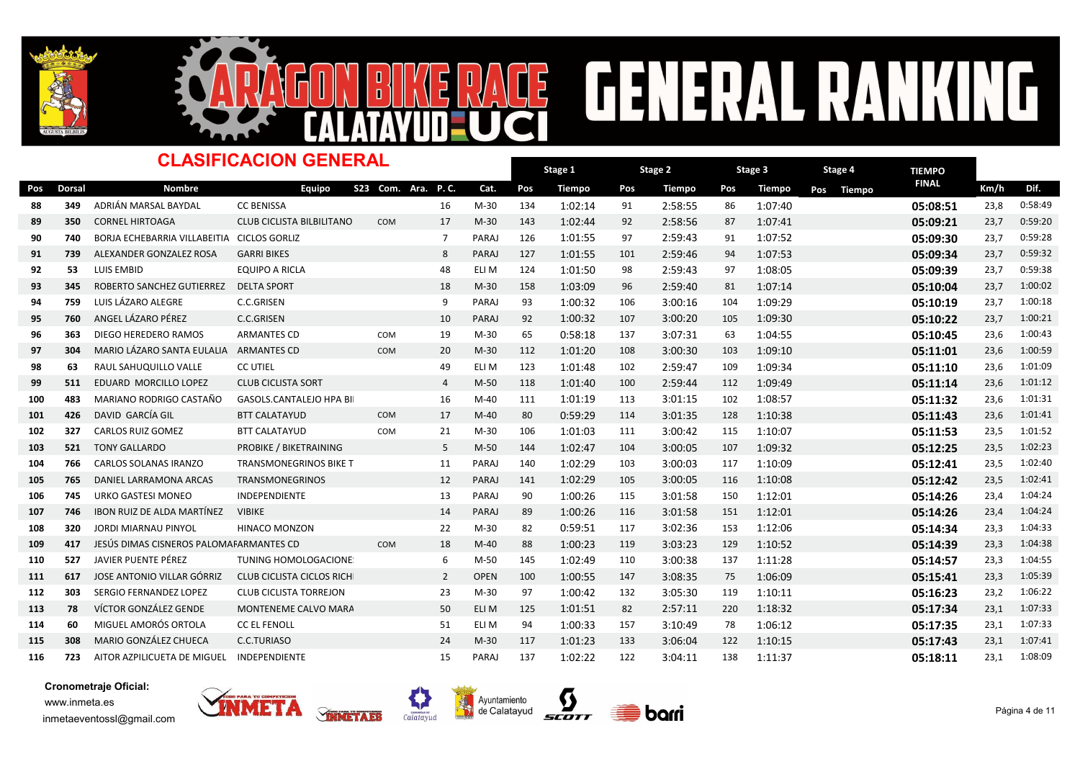



### **CENERAL RA** NG E  $\frac{1}{2}$

|     |        | <b>CLASIFICACION GENERAL</b>               | Stage 1<br>Stage 2               |                    |                | Stage 3      |     |               | Stage 4 |         | <b>TIEMPO</b> |         |     |        |              |      |         |
|-----|--------|--------------------------------------------|----------------------------------|--------------------|----------------|--------------|-----|---------------|---------|---------|---------------|---------|-----|--------|--------------|------|---------|
| Pos | Dorsal | <b>Nombre</b>                              | <b>Equipo</b>                    | S23 Com. Ara. P.C. |                | Cat.         | Pos | <b>Tiempo</b> | Pos     | Tiempo  | Pos           | Tiempo  | Pos | Tiempo | <b>FINAL</b> | Km/h | Dif.    |
| 88  | 349    | ADRIÁN MARSAL BAYDAL                       | <b>CC BENISSA</b>                |                    | 16             | $M-30$       | 134 | 1:02:14       | 91      | 2:58:55 | 86            | 1:07:40 |     |        | 05:08:51     | 23,8 | 0:58:49 |
| 89  | 350    | <b>CORNEL HIRTOAGA</b>                     | <b>CLUB CICLISTA BILBILITANO</b> | COM                | 17             | $M-30$       | 143 | 1:02:44       | 92      | 2:58:56 | 87            | 1:07:41 |     |        | 05:09:21     | 23,7 | 0:59:20 |
| 90  | 740    | BORJA ECHEBARRIA VILLABEITIA CICLOS GORLIZ |                                  |                    | 7              | PARAJ        | 126 | 1:01:55       | 97      | 2:59:43 | 91            | 1:07:52 |     |        | 05:09:30     | 23,7 | 0:59:28 |
| 91  | 739    | ALEXANDER GONZALEZ ROSA                    | <b>GARRI BIKES</b>               |                    | 8              | PARAJ        | 127 | 1:01:55       | 101     | 2:59:46 | 94            | 1:07:53 |     |        | 05:09:34     | 23,7 | 0:59:32 |
| 92  | 53     | LUIS EMBID                                 | <b>EQUIPO A RICLA</b>            |                    | 48             | ELI M        | 124 | 1:01:50       | 98      | 2:59:43 | 97            | 1:08:05 |     |        | 05:09:39     | 23,7 | 0:59:38 |
| 93  | 345    | ROBERTO SANCHEZ GUTIERREZ                  | <b>DELTA SPORT</b>               |                    | 18             | $M-30$       | 158 | 1:03:09       | 96      | 2:59:40 | 81            | 1:07:14 |     |        | 05:10:04     | 23,7 | 1:00:02 |
| 94  | 759    | LUIS LÁZARO ALEGRE                         | C.C.GRISEN                       |                    | 9              | PARAJ        | 93  | 1:00:32       | 106     | 3:00:16 | 104           | 1:09:29 |     |        | 05:10:19     | 23,7 | 1:00:18 |
| 95  | 760    | ANGEL LÁZARO PÉREZ                         | <b>C.C.GRISEN</b>                |                    | 10             | <b>PARAJ</b> | 92  | 1:00:32       | 107     | 3:00:20 | 105           | 1:09:30 |     |        | 05:10:22     | 23,7 | 1:00:21 |
| 96  | 363    | DIEGO HEREDERO RAMOS                       | <b>ARMANTES CD</b>               | COM                | 19             | $M-30$       | 65  | 0:58:18       | 137     | 3:07:31 | 63            | 1:04:55 |     |        | 05:10:45     | 23,6 | 1:00:43 |
| 97  | 304    | MARIO LÁZARO SANTA EULALIA                 | <b>ARMANTES CD</b>               | <b>COM</b>         | 20             | $M-30$       | 112 | 1:01:20       | 108     | 3:00:30 | 103           | 1:09:10 |     |        | 05:11:01     | 23,6 | 1:00:59 |
| 98  | 63     | RAUL SAHUQUILLO VALLE                      | <b>CC UTIEL</b>                  |                    | 49             | ELI M        | 123 | 1:01:48       | 102     | 2:59:47 | 109           | 1:09:34 |     |        | 05:11:10     | 23,6 | 1:01:09 |
| 99  | 511    | EDUARD MORCILLO LOPEZ                      | <b>CLUB CICLISTA SORT</b>        |                    | $\overline{4}$ | $M-50$       | 118 | 1:01:40       | 100     | 2:59:44 | 112           | 1:09:49 |     |        | 05:11:14     | 23,6 | 1:01:12 |
| 100 | 483    | MARIANO RODRIGO CASTAÑO                    | <b>GASOLS.CANTALEJO HPA BI</b>   |                    | 16             | $M-40$       | 111 | 1:01:19       | 113     | 3:01:15 | 102           | 1:08:57 |     |        | 05:11:32     | 23,6 | 1:01:31 |
| 101 | 426    | DAVID GARCÍA GIL                           | <b>BTT CALATAYUD</b>             | COM                | 17             | $M-40$       | 80  | 0:59:29       | 114     | 3:01:35 | 128           | 1:10:38 |     |        | 05:11:43     | 23,6 | 1:01:41 |
| 102 | 327    | <b>CARLOS RUIZ GOMEZ</b>                   | <b>BTT CALATAYUD</b>             | COM                | 21             | $M-30$       | 106 | 1:01:03       | 111     | 3:00:42 | 115           | 1:10:07 |     |        | 05:11:53     | 23,5 | 1:01:52 |
| 103 | 521    | <b>TONY GALLARDO</b>                       | PROBIKE / BIKETRAINING           |                    | 5              | $M-50$       | 144 | 1:02:47       | 104     | 3:00:05 | 107           | 1:09:32 |     |        | 05:12:25     | 23,5 | 1:02:23 |
| 104 | 766    | CARLOS SOLANAS IRANZO                      | <b>TRANSMONEGRINOS BIKE T</b>    |                    | 11             | PARAJ        | 140 | 1:02:29       | 103     | 3:00:03 | 117           | 1:10:09 |     |        | 05:12:41     | 23,5 | 1:02:40 |
| 105 | 765    | DANIEL LARRAMONA ARCAS                     | <b>TRANSMONEGRINOS</b>           |                    | 12             | PARAJ        | 141 | 1:02:29       | 105     | 3:00:05 | 116           | 1:10:08 |     |        | 05:12:42     | 23,5 | 1:02:41 |
| 106 | 745    | <b>URKO GASTESI MONEO</b>                  | <b>INDEPENDIENTE</b>             |                    | 13             | PARAJ        | 90  | 1:00:26       | 115     | 3:01:58 | 150           | 1:12:01 |     |        | 05:14:26     | 23,4 | 1:04:24 |
| 107 | 746    | <b>IBON RUIZ DE ALDA MARTÍNEZ</b>          | <b>VIBIKE</b>                    |                    | 14             | PARAJ        | 89  | 1:00:26       | 116     | 3:01:58 | 151           | 1:12:01 |     |        | 05:14:26     | 23,4 | 1:04:24 |
| 108 | 320    | <b>JORDI MIARNAU PINYOL</b>                | <b>HINACO MONZON</b>             |                    | 22             | $M-30$       | 82  | 0:59:51       | 117     | 3:02:36 | 153           | 1:12:06 |     |        | 05:14:34     | 23,3 | 1:04:33 |
| 109 | 417    | JESÚS DIMAS CISNEROS PALOMAFARMANTES CD    |                                  | COM                | 18             | $M-40$       | 88  | 1:00:23       | 119     | 3:03:23 | 129           | 1:10:52 |     |        | 05:14:39     | 23,3 | 1:04:38 |
| 110 | 527    | JAVIER PUENTE PÉREZ                        | <b>TUNING HOMOLOGACIONE</b>      |                    | 6              | $M-50$       | 145 | 1:02:49       | 110     | 3:00:38 | 137           | 1:11:28 |     |        | 05:14:57     | 23,3 | 1:04:55 |
| 111 | 617    | JOSE ANTONIO VILLAR GÓRRIZ                 | <b>CLUB CICLISTA CICLOS RICH</b> |                    | $\overline{2}$ | <b>OPEN</b>  | 100 | 1:00:55       | 147     | 3:08:35 | 75            | 1:06:09 |     |        | 05:15:41     | 23,3 | 1:05:39 |
| 112 | 303    | SERGIO FERNANDEZ LOPEZ                     | <b>CLUB CICLISTA TORREJON</b>    |                    | 23             | $M-30$       | 97  | 1:00:42       | 132     | 3:05:30 | 119           | 1:10:11 |     |        | 05:16:23     | 23,2 | 1:06:22 |
| 113 | 78     | VÍCTOR GONZÁLEZ GENDE                      | MONTENEME CALVO MARA             |                    | 50             | ELI M        | 125 | 1:01:51       | 82      | 2:57:11 | 220           | 1:18:32 |     |        | 05:17:34     | 23,1 | 1:07:33 |
| 114 | 60     | MIGUEL AMORÓS ORTOLA                       | <b>CC EL FENOLL</b>              |                    | 51             | ELI M        | 94  | 1:00:33       | 157     | 3:10:49 | 78            | 1:06:12 |     |        | 05:17:35     | 23,1 | 1:07:33 |
| 115 | 308    | <b>MARIO GONZÁLEZ CHUECA</b>               | C.C.TURIASO                      |                    | 24             | $M-30$       | 117 | 1:01:23       | 133     | 3:06:04 | 122           | 1:10:15 |     |        | 05:17:43     | 23,1 | 1:07:41 |
| 116 | 723    | AITOR AZPILICUETA DE MIGUEL                | INDEPENDIENTE                    |                    | 15             | PARAJ        | 137 | 1:02:22       | 122     | 3:04:11 | 138           | 1:11:37 |     |        | 05:18:11     | 23,1 | 1:08:09 |

Ц





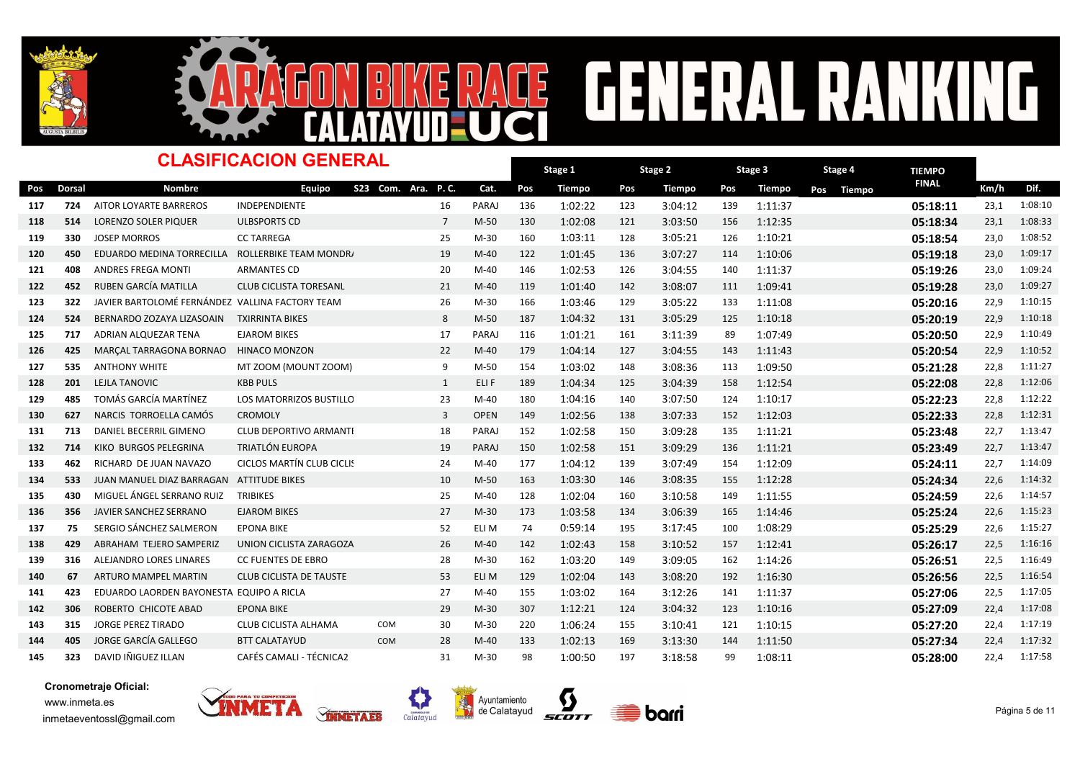



### Dorsal Nombre TIEMPO -<br>Pos Dorsal Nombre Equipo S23 Com. Ara. P.C. Cat. Pos Tiempo Pos Tiempo Pos Tiempo Pos Tiempo <sup>FINAL</sup> Km/h Dif. Stage 1 Pos Tiempo Pos Tiempo Pos Tiempo Pos Tiempo Dinalel Km/h Stage 2 Pos Tiempo Stage 3 Pos Tiempo CLASIFICACION GENERAL S23 Com. Ara. P. C. Stage 4 117 724 AITOR LOYARTE BARREROS INDEPENDIENTE 16 PARAJ 136 1:02:22 123 3:04:12 139 1:11:37 11:08:10 05:18:11 23,1 1:08:10 118 514 LORENZO SOLER PIQUER ULBSPORTS CD 7 M-50 130 1:02:08 121 3:03:50 156 1:12:35 **05:18:34** 23,1 1:08:33 119 330 JOSEP<code>MORROS CCTARREGA</code> CC transformation and the set of the set of the set of the set of the set of the set of the set of the set of the set of the set of the set of the set of the set of the set of the set of the <sup>120</sup> <sup>450</sup> EDUARDO MEDINA TORRECILLA ROLLERBIKE TEAM MONDRAKER <sup>19</sup> M-40 122 1:01:45 <sup>136</sup> 3:07:27 <sup>114</sup> 1:10:06 05:19:18 23,0 1:09:17 121 408 ANDRES FREGA MONTI ARMANTES CD 20 M-40 146 1:02:53 126 3:04:55 140 1:11:37 **05:19:26 2**3,0 1:09:24 122 452 RUBEN GARCÍA MATILLA CLUB CICLISTA TORESANL 21 M-40 119 1:01:40 142 3:08:07 111 1:09:41 **05:19:28** 23,0 1:09:27 123 322 JAVIER BARTOLOMÉ FERNÁNDEZ VALLINA FACTORY TEAM 1 16 16 36 166 1.03:46 129 3:05:22 133 1:11:08 15:20:16 22,9 1:10:15 124 524 BERNARDO ZOZAYA LIZASOAIN TXIRRINTA BIKES MOREAN BANG 187 1:04:32 131 3:05:29 125 1:10:18 11:10:18 05:20:19 22,9 1:10:18 <sup>125</sup> <sup>717</sup> ADRIAN ALQUEZAR TENA EJAROM BIKES PARAJ 116 <sup>17</sup> 1:01:21 <sup>161</sup> 3:11:39 <sup>89</sup> 1:07:49 05:20:50 22,9 1:10:49 126 425 MARÇALTARRAGONA BORNAO HINACO<code>MONZON</code> 120 12 M-40 179 1:04:14 127 3:04:55 143 1:11:43 120:54 05:20:54 22,9 1:10:52 127 535 ANTHONY WHITE MT ZOOM (MOUNT ZOOM) 9 M-50 154 1:03:02 148 3:08:36 113 1:09:50 05:21:28 22,8 1:11:27 <sup>128</sup> <sup>201</sup> LEJLA TANOVIC KBB PULS ELI F 189 <sup>1</sup> 1:04:34 <sup>125</sup> 3:04:39 <sup>158</sup> 1:12:54 05:22:08 22,8 1:12:06 <sup>129</sup> <sup>485</sup> TOMÁS GARCÍA MARTÍNEZ LOS MATORRIZOS BUSTILLO <sup>23</sup> M-40 180 1:04:16 <sup>140</sup> 3:07:50 <sup>124</sup> 1:10:17 05:22:23 22,8 1:12:22 130 627 NARCIS TORROELLA CAMÓS CROMOLY **Obert 149 1:02:56 138 3:07:33 152 1:12:03** 112:31 05:22:33 22,8 1:12:31 131 713 DANIEL BECERRIL GIMENO CLUB DEPORTIVO ARMANTI 18 PARAJ 152 1:02:58 150 3:09:28 135 1:11:21 11:21 **05:23:48 22,7 1:13:47** 132 714 KIKO BURGOS PELEGRINA TRIATLÓN EUROPA 19 PARAJ 150 1:02:58 151 3:09:29 136 1:11:21 1:13:49 05:23:49 22,7 1:13:47 133 462 RICHARD DE JUAN NAVAZO CICLOS MARTÍN CLUB CICLI! 24 M-40 177 1:04:12 139 3:07:49 154 1:12:09 **05:24:11 05:24:11** 22,7 1:14:09 134 533 JUAN MANUEL DIAZ BARRAGAN ATTITUDE BIKES M-50 10 M-50 163 1:03:30 146 3:08:35 155 1:12:28 **05:24:34 05:24:34** 22,6 1:14:32 135 430 MIGUEL ÁNGEL SERRANO RUIZ TRIBIKES **Mateura (h. 140 128 1:02:04 160 3:10:58** 149 1:11:55 **1:11:55 05:24:59** 22,6 1:14:57 136 356 JAVIER SANCHEZ SERRANO EJAROM BIKES 27 M-30 173 1:03:58 134 3:06:39 165 1:14:46 **05:25:24 05:25:24** 22,6 1:15:23 137 75 SERGIO SÁNCHEZ SALMERON EPONA BIKE **Eli magyarat 194 0.59:14 195 3:17:45** 100 1:08:29 **1:08:29 05:25:29** 22,6 1:15:27 138 429 ABRAHAM TEJERO SAMPERIZ UNION CICLISTA ZARAGOZA 26 M-40 142 1:02:43 158 3:10:52 157 1:12:41 **05:26:17 05:26:17** 22,5 1:16:16 139 316 ALEJANDRO LORES LINARES CC FUENTES DE EBRO 28 M-30 162 1:03:20 149 3:09:05 162 1:14:26 **05:26:51 05:26:51** 22,5 1:16:49 140 67 ARTURO<code>MAMPEL</code> MARTIN CLUB CICLISTA DE TAUSTE  $\qquad \qquad 53$  eli m $\qquad 129$  1:02:04 143 3:08:20 192 1:16:30  $\qquad \qquad 05:26:56$  22,5 1:16:54 141 423 EDUARDO LAORDEN BAYONESTA EQUIPO A RICLA 1 1 27 M-40 155 1:03:02 164 3:12:26 141 1:11:37 1 105:27:06 22.5 1:17:05 142 306 ROBERTO CHICOTE ABAD EPONA BIKE 29 M-30 307 1:12:21 124 3:04:32 123 1:10:16 05:27:09 22,4 1:17:08 143 315 JORGE PEREZ TIRADO CLUB CICLISTA ALHAMA COM 30 M-30 220 1:06:24 155 3:10:41 121 1:10:15 **05:27:20 05:27:20** 22,4 1:17:19 144 405 JORGE GARCÍA GALLEGO BTT CALATAYUD COM 28 M-40 133 1:02:13 169 3:13:30 144 1:11:50 **05:27:34 05:27:34** 22,4 1:17:32 145 323 DAVIDIÑIGUEZILLAN CAFÉS<code>CAMALI-TÉCNICA2</code> 1.0-30 98  $1:00:50$  197  $3:18:58$  99  $1:08:11$  1.08:11 **05:28:00** 22,4 1:17:58







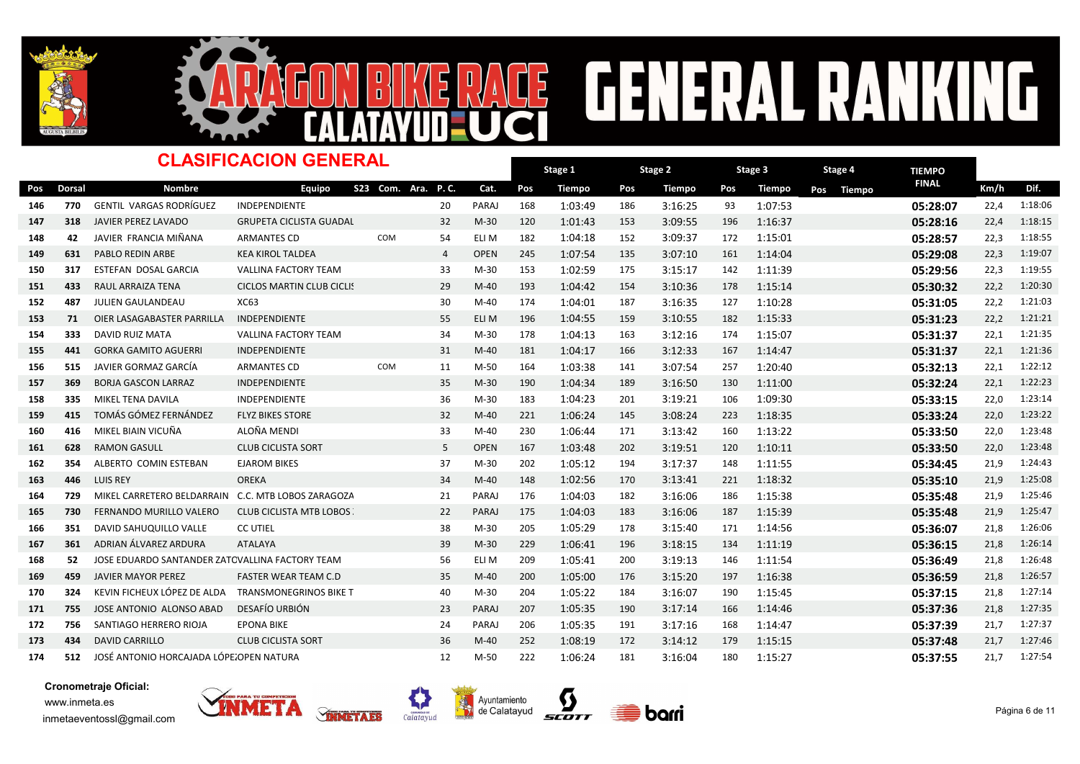



### Dorsal Nombre TIEMPO -<br>Pos Dorsal Nombre Equipo S23 Com. Ara. P.C. Cat. Pos Tiempo Pos Tiempo Pos Tiempo Pos Tiempo <sup>FINAL</sup> Km/h Dif. Stage 1 Pos Tiempo Pos Tiempo Pos Tiempo Pos Tiempo Dinalel Km/h Stage 2 Pos Tiempo Stage 3 Pos Tiempo CLASIFICACION GENERAL S23 Com. Ara. P. C. Stage 4 <sup>146</sup> <sup>770</sup> GENTIL VARGAS RODRÍGUEZ INDEPENDIENTE PARAJ 168 <sup>20</sup> 1:03:49 <sup>186</sup> 3:16:25 <sup>93</sup> 1:07:53 05:28:07 22,4 1:18:06 147 318 JAVIER PEREZ LAVADO GRUPETA CICLISTA GUADAL 32 M-30 120 1:01:43 153 3:09:55 196 1:16:37 **05:28:16 05:28:16** 22,4 1:18:15 <sup>148</sup> <sup>42</sup> JAVIER FRANCIA MIÑANA ARMANTES CD ELI M 182 COM <sup>54</sup> 1:04:18 <sup>152</sup> 3:09:37 <sup>172</sup> 1:15:01 05:28:57 22,3 1:18:55 149 631 PABLO<code>REDIN</code> ARBE KEA KIROL<code>TALDEA</code> 4 OPEN 245 1:07:54 135 3:07:10 161 1:14:04 05:29:08 22,3 1:19:07 150 317 ESTEFAN DOSAL GARCIA WALLINA FACTORY TEAM 33 M-30 153 1:02:59 175 3:15:17 142 1:11:39 05:<mark>29:56</mark> 22,3 1:19:55 151 433 RAULARRAIZA TENA CICLOS MARTIN CLUB CICLI! 29 M-40 193 1:04:42 154 3:10:36 178 1:15:14 **05:30:32** 22,2 1:20:30 <sup>152</sup> <sup>487</sup> JULIEN GAULANDEAU XC63 M-40 174 <sup>30</sup> 1:04:01 <sup>187</sup> 3:16:35 <sup>127</sup> 1:10:28 05:31:05 22,2 1:21:03 <sup>153</sup> <sup>71</sup> OIER LASAGABASTER PARRILLA INDEPENDIENTE ELI M 196 <sup>55</sup> 1:04:55 <sup>159</sup> 3:10:55 <sup>182</sup> 1:15:33 05:31:23 22,2 1:21:21 <sup>154</sup> <sup>333</sup> DAVID RUIZ MATA VALLINA FACTORY TEAM M-30 178 <sup>34</sup> 1:04:13 <sup>163</sup> 3:12:16 <sup>174</sup> 1:15:07 05:31:37 22,1 1:21:35 155 441 GORKA GAMITO AGUERRI INDEPENDIENTE 1999 31 M-40 181 1:04:17 166 3:12:33 167 1:14:47 165:31:37 22,1 1:21:36 156 515 JAVIER GORMAZ GARCÍA ARMANTES CD com 11 M-50 164 1:03:38 141 3:07:54 257 1:20:40 **05:32:13** 22,1 1:22:12 157 369 BORJA<code>GASCON</code> LARRAZ INDEPENDIENTE 35 M-30 190 1:04:34 189 3:16:50 130 1:11:00 05:32:24 22,1 1:22:23 <sup>158</sup> <sup>335</sup> MIKEL TENA DAVILA INDEPENDIENTE M-30 183 <sup>36</sup> 1:04:23 <sup>201</sup> 3:19:21 <sup>106</sup> 1:09:30 05:33:15 22,0 1:23:14 159 415 TOMÁS GÓMEZ FERNÁNDEZ FLYZ BIKES STORE 32 M-40 221 1:06:24 145 3:08:24 223 1:18:35 **05:33:24 05:33:24** 22,0 1:23:22 <sup>160</sup> <sup>416</sup> MIKEL BIAIN VICUÑA ALOÑA MENDI M-40 230 <sup>33</sup> 1:06:44 <sup>171</sup> 3:13:42 <sup>160</sup> 1:13:22 05:33:50 22,0 1:23:48 161 628 RAMONGASULL CLUB CICLISTA SORT 5 OPEN 167 1:03:48 202 3:19:51 120 1:10:11 **05:33:50** 22,0 1:23:48 162 354 ALBERTO COMINESTEBAN EJAROM BIKES 1989 197 M-30 202 1:05:12 194 3:17:37 148 1:11:55 198 1:34:45 21,9 1:24:43 <sup>163</sup> <sup>446</sup> LUIS REY OREKA M-40 148 <sup>34</sup> 1:02:56 <sup>170</sup> 3:13:41 <sup>221</sup> 1:18:32 05:35:10 21,9 1:25:08 <sup>164</sup> <sup>729</sup> MIKEL CARRETERO BELDARRAIN C.C. MTB LOBOS ZARAGOZA <sup>21</sup> PARAJ 176 1:04:03 <sup>182</sup> 3:16:06 <sup>186</sup> 1:15:38 05:35:48 21,9 1:25:46 165 730 FERNANDO MURILLO VALERO CLUB CICLISTA MTB LOBOS 22 PARAJ 175 1:04:03 183 3:16:06 187 1:15:39 05:35:48 05:35:48 21,9 1:25:47 <sup>166</sup> <sup>351</sup> DAVID SAHUQUILLO VALLE CC UTIEL M-30 205 <sup>38</sup> 1:05:29 <sup>178</sup> 3:15:40 <sup>171</sup> 1:14:56 05:36:07 21,8 1:26:06 <sup>167</sup> <sup>361</sup> ADRIAN ÁLVAREZ ARDURA ATALAYA M-30 229 <sup>39</sup> 1:06:41 <sup>196</sup> 3:18:15 <sup>134</sup> 1:11:19 05:36:15 21,8 1:26:14 168 52 JOSE EDUARDO SANTANDER ZATOVALLINA FACTORY TEAM 56 ELI M 209 1:05:41 200 3:19:13 146 1:11:54 **05:36:49 05:36:49** 21,8 1:26:48 169 459 JAVIER MAYOR PEREZ FASTER WEAR TEAM C.D 35 M-40 200 1:05:00 176 3:15:20 197 1:16:38 **05:36:59 2**1,8 1:26:57 170 324 KEVIN FICHEUX LÓPEZ DE ALDA TRANSMONEGRINOS BIKE T 40 M-30 204 1:05:22 184 3:16:07 190 1:15:45 **05:37:15 05:37:15** 21,8 1:27:14 171 755 JOSE ANTONIO ALONSO ABAD DESAFÍO<code>URBIÓN 23 PARAJ 207 1:05:35 190 3:17:14 166 1:14:46 05:37:36 05:37:36 21,8 1:27:35 21,8 1:27:35 21,8 1:27:35 21,8 1:27:35 21,8 1:27:35 21,8 1:27:35 21,8 1:27:35 21,8 1:27:35 21,8 1:</code> 172 756 SANTIAGO<code>HERRERO</code> RIOJA EPONA BIKE 24 PARAJ 206 1:05:35 191 3:17:16 168 1:14:47 1:14:47 05:37:39 21,7 1:27:37 173 434 DAVID CARRILLO CLUB CICLISTA SORT 36 M-40 252 1:08:19 172 3:14:12 179 1:15:15 **05:37:48 2**1,7 1:27:46 <sup>174</sup> <sup>512</sup> JOSÉ ANTONIO HORCAJADA LÓPEZOPEN NATURA M-50 222 <sup>12</sup> 1:06:24 <sup>181</sup> 3:16:04 <sup>180</sup> 1:15:27 05:37:55 21,7 1:27:54







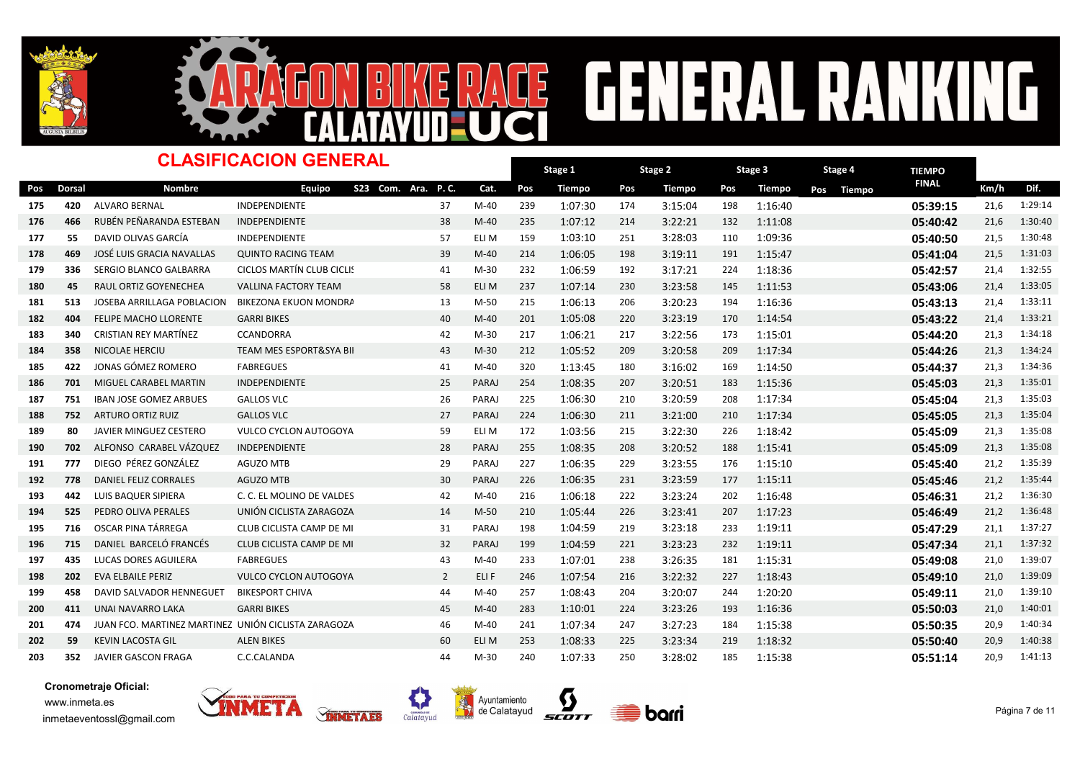



### Dorsal Nombre TIEMPO -<br>Pos Dorsal Nombre Equipo S23 Com. Ara. P.C. Cat. Pos Tiempo Pos Tiempo Pos Tiempo Pos Tiempo <sup>FINAL</sup> Km/h Dif. Stage 1 Pos Tiempo Pos Tiempo Pos Tiempo Pos Tiempo Dinalel Km/h Stage 2 Pos Tiempo Stage 3 Pos Tiempo CLASIFICACION GENERAL S23 Com. Ara. P. C. Stage 4 175 420 ALVARO<code>BERNAL INDEPENDIENTE</code> 1.1 and 37 M-40 239 1:07:30 174 3:15:04 198 1:16:40 198 1:16:40 05:39:15 21,6 1:29:14 176 466 RUBÉN<code>PEÑARANDA</code> ESTEBAN INDEPENDIENTE 38 M-40 235 1:07:12 214 3:22:21 132 1:11:08 05:40:42 21,6 1:30:40 <sup>177</sup> <sup>55</sup> DAVID OLIVAS GARCÍA INDEPENDIENTE ELI M 159 <sup>57</sup> 1:03:10 <sup>251</sup> 3:28:03 <sup>110</sup> 1:09:36 05:40:50 21,5 1:30:48 178 469 JOSÉ LUIS GRACIA NAVALLAS QUINTO RACING TEAM 39 M-40 214 1:06:05 198 3:19:11 191 1:15:47 **05:41:04 2**1,5 1:31:03 179 336 SERGIO<code>BLANCO</code> GALBARRA CICLOS MARTÍN CLUB CICLI! 41 M-30 232 1:06:59 192 3:17:21 224 1:18:36 05:42:57 05:42:57 21,4 1:32:55 180 45 RAUL ORTIZ GOYENECHEA VALLINA FACTORY TEAM 58 ELI M 237 1:07:14 230 3:23:58 145 1:11:53 **05:43:06 21,4 1:33:05** 181 513 JOSEBA ARRILLAGA POBLACION BIKEZONA EKUON MONDRANDAR 13 M-50 215 1:06:13 206 3:20:23 194 1:16:36 15:43:13 05:43:13 21,4 1:33:11 182 404 FELIPE MACHO LLORENTE GARRI BIKES 6 11:05 100 M-40 40 M-40 201 1:05:08 220 3:23:19 170 1:14:54 **05:43:22 05:43:22** 21,4 1:33:21 183 340 CRISTIAN REY MARTÍNEZ CCANDORRA M-30 42 M-30 217 1:06:21 217 3:22:56 173 1:15:01 113:01 05:44:20 21,3 1:34:18 184 358 NICOLAE HERCIU TEAM MES ESPORT&SYA BII 43 M-30 212 1:05:52 209 3:20:58 209 1:17:34 **05:44:26 05:44:26** 21,3 1:34:24 185 422 JONAS GÓMEZ ROMERO FABREGUES 1990 1112 1440 41 M-40 320 1:13:45 180 3:16:02 169 1:14:50 114:50 **05:44:37** 21,3 1:34:36 186 701 MIGUEL CARABEL MARTIN INDEPENDIENTE 25 PARAJ 254 1:08:35 207 3:20:51 183 1:15:36 05:45:03 05:45:03 21,3 1:35:01 187 751 IBANJOSE GOMEZ ARBUES GALLOS<code>VLC</code> entrancemental to the paraj 225 1:06:30 210 3:20:59 208 1:17:34 **05:45:04 05:45:04** 21,3 1:35:03 188 752 ARTURO<code>ORTIZ</code> RUIZ GALLOS<code>VLC</code> entertainmental contract the contract of the contract  $27$  paraj 224 1:06:30 211 3:21:00 210 1:17:34  $\,$  **05:45:05** 21,3 1:35:04 189 80 JAVIER MINGUEZ CESTERO VULCO CYCLON AUTOGOYA 59 ELI M 172 1:03:56 215 3:22:30 226 1:18:42 **05:45:09 05:45:09** 21,3 1:35:08 <sup>190</sup> <sup>702</sup> ALFONSO CARABEL VÁZQUEZ INDEPENDIENTE PARAJ 255 <sup>28</sup> 1:08:35 <sup>208</sup> 3:20:52 <sup>188</sup> 1:15:41 05:45:09 21,3 1:35:08 <sup>191</sup> <sup>777</sup> DIEGO PÉREZ GONZÁLEZ AGUZO MTB PARAJ 227 <sup>29</sup> 1:06:35 <sup>229</sup> 3:23:55 <sup>176</sup> 1:15:10 05:45:40 21,2 1:35:39 <sup>192</sup> <sup>778</sup> DANIEL FELIZ CORRALES AGUZO MTB PARAJ 226 <sup>30</sup> 1:06:35 <sup>231</sup> 3:23:59 <sup>177</sup> 1:15:11 05:45:46 21,2 1:35:44 193 442 LUIS BAQUER SIPIERA C. C. EL MOLINO DE VALDES 42 M-40 216 1:06:18 222 3:23:24 202 1:16:48 **05:46:31 05:46:31** 21,2 1:36:30 194 525 PEDRO OLIVA PERALES UNIÓN CICLISTA ZARAGOZA 14 M-50 210 1:05:44 226 3:23:41 207 1:17:23 **05:46:49 05:46:49** 21,2 1:36:48 195 716 OSCAR PINA TÁRREGA CLUB CICLISTA CAMP DE MIRRA 198 1:04:59 1104:59 219 3:23:18 233 1:19:11 1:37:20 05:47:29 21,1 1:37:27 196 715 DANIEL BARCELÓ FRANCÉS CLUB CICLISTA CAMP DE MI**RRA 199 1:04:59 1:04:59 221 3:23:23** 232 1:19:11 1:37:34 05:47:34 21,1 1:37:32 197 435 LUCAS DORES AGUILERA FABREGUES 6 139 10 1:40 233 1:07:01 238 3:26:35 181 1:15:31 139:07 1:39:07 21,0 198 202 EVA ELBAILE PERIZ VULCO CYCLON AUTOGOYA 2 ELI F 246 1:07:54 216 3:22:32 227 1:18:43 **05:49:10 2**1,0 1:39:09 <sup>199</sup> <sup>458</sup> DAVID SALVADOR HENNEGUET BIKESPORT CHIVA M-40 257 <sup>44</sup> 1:08:43 <sup>204</sup> 3:20:07 <sup>244</sup> 1:20:20 05:49:11 21,0 1:39:10 <sup>200</sup> <sup>411</sup> UNAI NAVARRO LAKA GARRI BIKES M-40 283 <sup>45</sup> 1:10:01 <sup>224</sup> 3:23:26 <sup>193</sup> 1:16:36 05:50:03 21,0 1:40:01 <sup>201</sup> <sup>474</sup> JUAN FCO. MARTINEZ MARTINEZ UNIÓN CICLISTA ZARAGOZA <sup>46</sup> M-40 241 1:07:34 <sup>247</sup> 3:27:23 <sup>184</sup> 1:15:38 05:50:35 20,9 1:40:34 <sup>202</sup> <sup>59</sup> KEVIN LACOSTA GIL ALEN BIKES ELI M 253 <sup>60</sup> 1:08:33 <sup>225</sup> 3:23:34 <sup>219</sup> 1:18:32 05:50:40 20,9 1:40:38 203 352 JAVIERGASCON<code>FRAGA C.C.CALANDA</code> CORTAINDA 44 M-30 240 1:07:33 250 3:28:02 185 1:15:38 05:51:14 20,9 1:41:13







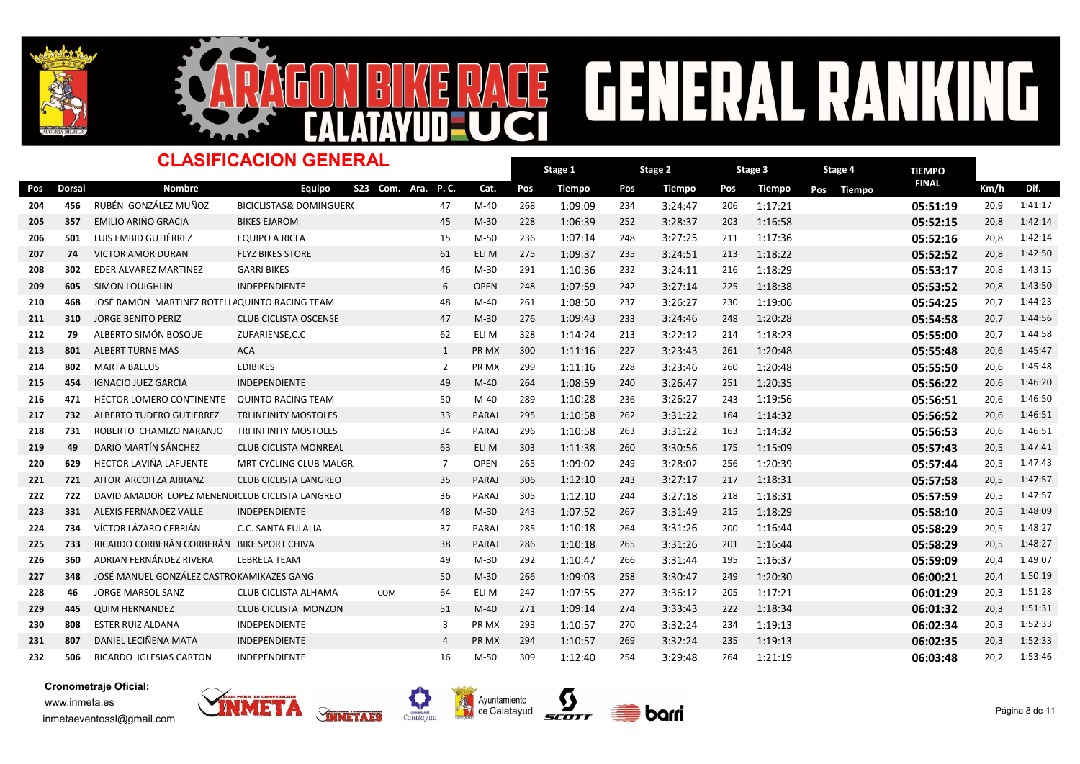



### Dorsal Nombre TIEMPO -<br>Pos Dorsal Nombre Equipo S23 Com. Ara. P.C. Cat. Pos Tiempo Pos Tiempo Pos Tiempo Pos Tiempo <sup>FINAL</sup> Km/h Dif. Stage 1 Pos Tiempo Pos Tiempo Pos Tiempo Pos Tiempo Dinalel Km/h Stage 2 Pos Tiempo Stage 3 Pos Tiempo CLASIFICACION GENERAL S23 Com. Ara. P. C. Stage 4 204 456 RUBÉN GONZÁLEZ MUÑOZ BICICLISTAS& DOMINGUER(2012) 47 M-40 268 1:09:09 234 3:24:47 206 1:17:21 120 13:51:19 20,9 1:41:17 205 357 EMILIO ARIÑO GRACIA BIKES EJAROM 45 M-30 228 1:06:39 252 3:28:37 203 1:16:58 **05:52:15** 20,8 1:42:14 <sup>206</sup> <sup>501</sup> LUIS EMBID GUTIÉRREZ EQUIPO A RICLA M-50 236 <sup>15</sup> 1:07:14 <sup>248</sup> 3:27:25 <sup>211</sup> 1:17:36 05:52:16 20,8 1:42:14 207 74 VICTOR AMOR DURAN FLYZ BIKES STORE 61 ELI M 275 1:09:37 235 3:24:51 213 1:18:22 **05:52:52** 20,8 1:42:50 208 302 EDER ALVAREZ MARTINEZ GARRI BIKES – 1 46 M-30 291 1:10:36 232 3:24:11 216 1:18:29 – **05:53:17** 20,8 1:43:15 209 605 SIMON LOUIGHLIN INDEPENDIENTE 6 OPEN 248 1:07:59 242 3:27:14 225 1:18:38 <mark>05:53:52</mark> 20,8 1:43:50 <sup>210</sup> <sup>468</sup> JOSÉ RAMÓN MARTINEZ ROTELLARQUINTO RACING TEAM M-40 261 <sup>48</sup> 1:08:50 <sup>237</sup> 3:26:27 <sup>230</sup> 1:19:06 05:54:25 20,7 1:44:23 211 310 JORGE BENITO PERIZ CLUB CICLISTA OSCENSE 47 M-30 276 1:09:43 233 3:24:46 248 1:20:28 **05:54:58 05:54:58** 20,7 1:44:56 212 79 ALBERTO SIMÓN BOSQUE ZUFARIENSE,C.C 6 62 ELI M 328 1:14:24 213 3:22:12 214 1:18:23 **05:55:00 05:55:00** 20,7 1:44:58 213 801 ALBERTTURNE<code>MAS ACA PR MX</code> 300 1:11:16 227 3:23:43 261 1:20:48 05:55:48 20,6 1:45:47 <sup>214</sup> <sup>802</sup> MARTA BALLUS EDIBIKES PR MX 299 <sup>2</sup> 1:11:16 <sup>228</sup> 3:23:46 <sup>260</sup> 1:20:48 05:55:50 20,6 1:45:48 215 454 IGNACIO JUEZ GARCIA INDEPENDIENTE 19 49 M-40 264 1:08:59 240 3:26:47 251 1:20:35 1:35 05:56:22 20,6 1:46:20 216 471 HÉCTOR LOMERO CONTINENTE QUINTO RACING TEAM 50 M-40 289 1:10:28 236 3:26:27 243 1:19:56 **05:56:51 05:56:51** 20,6 1:46:50 217 732 ALBERTO<code>TUDERO</code> GUTIERREZ TRI<code>INFINITY</code> MOSTOLES 8 93 PARAJ 295 1:10:58 262 3:31:22 164 1:14:32 05:56:52 05:56:52 20,6 1:46:51 218 731 ROBERTO CHAMIZO<code>NARANJO TRI</code>INFINITY<code>MOSTOLES</code> 94 PARAJ 296 1:10:58 263 3:31:22 163 1:14:32 05:56:53 05:56:53 20,6 1:46:51 219 49 DARIO MARTÍN SÁNCHEZ CLUB CICLISTA MONREAL 63 ELI M 303 1:11:38 260 3:30:56 175 1:15:09 **05:57:43 05:57:43** 20,5 1:47:41 <sup>220</sup> <sup>629</sup> HECTOR LAVIÑA LAFUENTE MRT CYCLING CLUB MALGRAT <sup>7</sup> OPEN 265 1:09:02 <sup>249</sup> 3:28:02 <sup>256</sup> 1:20:39 05:57:44 20,5 1:47:43 221 721 AITOR ARCOITZA ARRANZ CLUB CICLISTA LANGREO 35 PARAJ 306 1:12:10 243 3:27:17 217 1:18:31 **05:57:58 05:57:58** 20,5 1:47:57 <sup>222</sup> <sup>722</sup> DAVID AMADOR LOPEZ MENENDEZCLUB CICLISTA LANGREO PARAJ 305 <sup>36</sup> 1:12:10 <sup>244</sup> 3:27:18 <sup>218</sup> 1:18:31 05:57:59 20,5 1:47:57 223 331 ALEXIS FERNANDEZ VALLE INDEPENDIENTE 48 M-30 243 1:07:52 267 3:31:49 215 1:18:29 05:58:10 05:58:10 20,5 1:48:09 224 734 VÍCTOR LÁZARO CEBRIÁN C.C. SANTA EULALIA RARAJ 285 1:10:18 264 3:31:26 200 1:16:44 **05:58:29 2**0,5 1:48:27 225 733 RICARDO CORBERÁN CORBERÁN BIKE SPORT CHIVA **PARAJ 286 1:10:18 265 3:31:26** 201 1:16:44 **05:58:29** 20,5 1:48:27 226 360 ADRIAN<code>FERNÁNDEZ</code>RIVERA LEBRELA<code>TEAM 149 M-30</code> 292 1:10:47 266 3:31:44 195 1:16:37 05:59:09 20,4 1:49:07 227 348 JOSÉ MANUEL GONZÁLEZ CASTROKAMIKAZES GANG **M-30 50 M-30 266 1:09:03 258 3:30:47** 249 1:20:30 **06:00:21 20,4** 1:50:19 228 46 JORGE MARSOL SANZ CLUB CICLISTA ALHAMA COM 64 ELI M 247 1:07:55 277 3:36:12 205 1:17:21 120 **06:01:29** 20,3 1:51:28 229 445 QUIM<code>HERNANDEZ CLUB</code> CLUB CICLISTA MONZON 51 M-40 271 1:09:14 274 3:33:43 222 1:18:34 **06:01:32** 20,3 1:51:31 <sup>230</sup> <sup>808</sup> ESTER RUIZ ALDANA INDEPENDIENTE PR MX 293 <sup>3</sup> 1:10:57 <sup>270</sup> 3:32:24 <sup>234</sup> 1:19:13 06:02:34 20,3 1:52:33 231 807 DANIEL LECIÑENA MATA INDEPENDIENTE 1988 1994 PR MX 294 1:10:57 269 3:32:24 235 1:19:13 11:19:13 06:02:35 20,3 1:52:33 232 506 RICARDO IGLESIAS CARTON INDEPENDIENTE 16 M-50 309 1:12:40 254 3:29:48 264 1:21:19 16:03:48 06:03:48 20,2 1:53:46







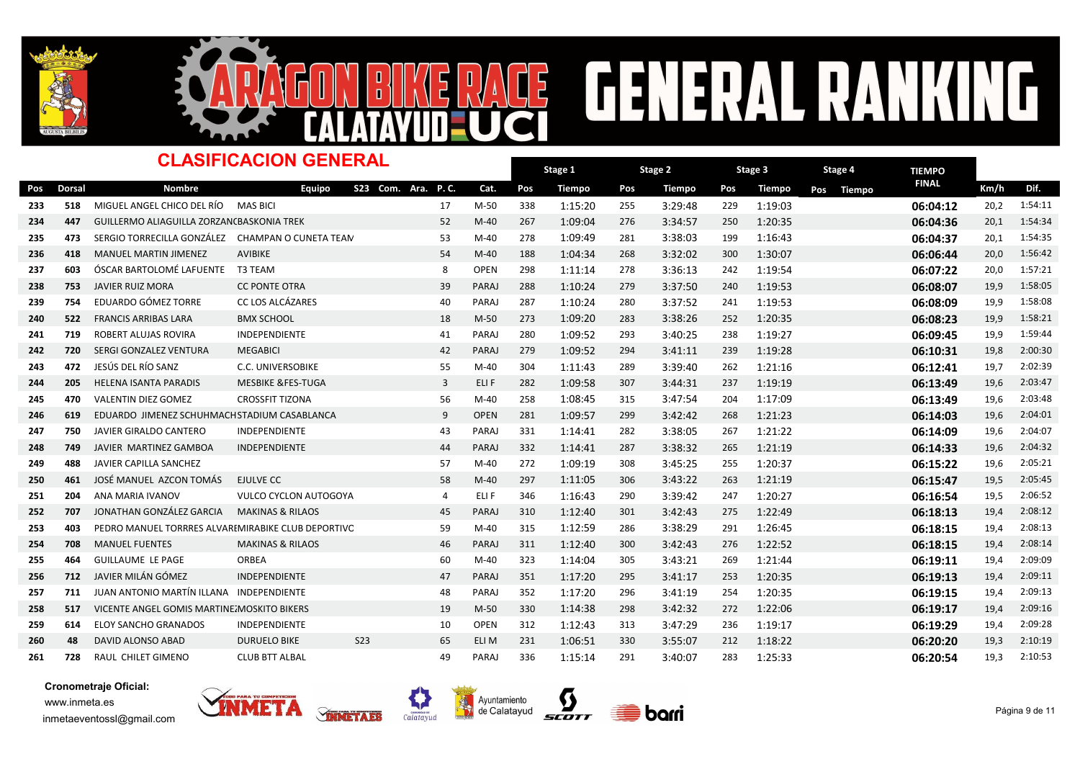



### Dorsal Nombre TIEMPO -<br>Pos Dorsal Nombre Equipo S23 Com. Ara. P.C. Cat. Pos Tiempo Pos Tiempo Pos Tiempo Pos Tiempo <sup>FINAL</sup> Km/h Dif. Stage 1 Pos Tiempo Pos Tiempo Pos Tiempo Pos Tiempo Dinalel Km/h Stage 2 Pos Tiempo Stage 3 Pos Tiempo CLASIFICACION GENERAL S23 Com. Ara. P. C. Stage 4 233 518 MIGUEL ANGEL CHICO DEL RÍO MAS BICI 20,2 1:54:11 17 M-50 338 1:15:20 255 3:29:48 229 1:19:03 **06:04:12** 20,2 1:54:11 234 447 GUILLERMO ALIAGUILLA ZORZANCBASKONIA TREK 6 62 62 1:40 1267 1:09:04 276 3:34:57 250 1:20:35 06:04:36 20,1 1:54:34 <sup>235</sup> <sup>473</sup> SERGIO TORRECILLA GONZÁLEZ CHAMPAN O CUNETA TEAM <sup>53</sup> M-40 278 1:09:49 <sup>281</sup> 3:38:03 <sup>199</sup> 1:16:43 06:04:37 20,1 1:54:35 <sup>236</sup> <sup>418</sup> MANUEL MARTIN JIMENEZ AVIBIKE M-40 188 <sup>54</sup> 1:04:34 <sup>268</sup> 3:32:02 <sup>300</sup> 1:30:07 06:06:44 20,0 1:56:42 237 603 ÓSCAR BARTOLOMÉ LAFUENTE T3 TEAM **OBEN 1896 CHA CHA CHA CHA CHA 278 3:36:13** 242 1:19:54 **06:07:22** 20,0 1:57:21 238 753 JAVIER RUIZ MORA CC PONTE OTRA 239 PARAJ 288 1:10:24 279 3:37:50 240 1:19:53 **06:08:07** 19,9 1:58:05 <sup>239</sup> <sup>754</sup> EDUARDO GÓMEZ TORRE CC LOS ALCÁZARES PARAJ 287 <sup>40</sup> 1:10:24 <sup>280</sup> 3:37:52 <sup>241</sup> 1:19:53 06:08:09 19,9 1:58:08 240 522 FRANCIS ARRIBAS LARA BMX SCHOOL 18 M-50 273 1:09:20 283 3:38:26 252 1:20:35 **06:08:23** 19,9 1:58:21 241 719 ROBERT ALUJAS ROVIRA INDEPENDIENTE 1999 11 120 41 PARAJ 280 1:09:52 293 3:40:25 238 1:19:27 11:09:27 06:<mark>09:45</mark> 19,9 1:59:44 <sup>242</sup> <sup>720</sup> SERGI GONZALEZ VENTURA MEGABICI PARAJ 279 <sup>42</sup> 1:09:52 <sup>294</sup> 3:41:11 <sup>239</sup> 1:19:28 06:10:31 19,8 2:00:30 <sup>243</sup> <sup>472</sup> JESÚS DEL RÍO SANZ C.C. UNIVERSOBIKE M-40 304 <sup>55</sup> 1:11:43 <sup>289</sup> 3:39:40 <sup>262</sup> 1:21:16 06:12:41 19,7 2:02:39 <sup>244</sup> <sup>205</sup> HELENA ISANTA PARADIS MESBIKE &FES-TUGA ELI F 282 <sup>3</sup> 1:09:58 <sup>307</sup> 3:44:31 <sup>237</sup> 1:19:19 06:13:49 19,6 2:03:47 245 470 VALENTIN DIEZ GOMEZ CROSSFIT TIZONA 1994 1995 6 M-40 258 1:08:45 315 3:47:54 204 1:17:09 11:09 06:13:49 19,6 2:03:48 246 619 EDUARDO JIMENEZ SCHUHMACHSTADIUM CASABLANCA 0 0 0PEN 281 1:09:57 299 3:42:42 268 1:21:23 06:14:03 19,6 2:04:01 247 750 JAVIER GIRALDO<code>CANTERO</code> INDEPENDIENTE  $\,$  43 PARAJ 331  $1:14:41$  282  $3:38:05$  267  $1:21:22$  06:14:09 19,6 2:04:07 248 749 JAVIER MARTINEZ GAMBOA INDEPENDIENTE RARAT 44 PARAJ 332 1:14:41 287 3:38:32 265 1:21:19 12:119 **06:14:33** 19,6 2:04:32 249 488 JAVIER CAPILLA SANCHEZ **57 57 57 57 M-40 272 1:09:19** 308 3:45:25 255 1:20:37 57 06:15:22 19,6 2:05:21 <sup>250</sup> <sup>461</sup> JOSÉ MANUEL AZCON TOMÁS EJULVE CC M-40 297 <sup>58</sup> 1:11:05 <sup>306</sup> 3:43:22 <sup>263</sup> 1:21:19 06:15:47 19,5 2:05:45 <sup>251</sup> <sup>204</sup> ANA MARIA IVANOV VULCO CYCLON AUTOGOYA <sup>4</sup> ELI F 346 1:16:43 <sup>290</sup> 3:39:42 <sup>247</sup> 1:20:27 06:16:54 19,5 2:06:52 252 707 JONATHAN<code>GONZÁLEZ</code> GARCIA MAKINAS & RILAOS  $45$  PARAJ 310  $1:12:40$  301  $3:42:43$  275  $1:22:49$   $1:22:49$   $06:18:13$   $19,4$   $2:08:12$ 253 403 PEDRO MANUEL TORRRES ALVAREMIRABIKE CLUB DEPORTIVC 59 M-40 315 1:12:59 286 3:38:29 291 1:26:45 **06:18:15 06:18:15** 19,4 2:08:13 254 708 MANUEL「FUENTES MAKINAS & RILAOS 46 PARAJ 311 1:12:40 300 3:42:43 276 1:22:52 **06:18:15 06:18:15** 19,4 2:08:14 <sup>255</sup> <sup>464</sup> GUILLAUME LE PAGE ORBEA M-40 323 <sup>60</sup> 1:14:04 <sup>305</sup> 3:43:21 <sup>269</sup> 1:21:44 06:19:11 19,4 2:09:09 256 712 JAVIER MILÁN GÓMEZ INDEPENDIENTE 1999 47 PARAJ 351 1:17:20 295 3:41:17 253 1:20:35 11 0<mark>6:19:13 1</mark>9,4 2:09:11 <sup>257</sup> <sup>711</sup> JUAN ANTONIO MARTÍN ILLANA INDEPENDIENTE PARAJ 352 <sup>48</sup> 1:17:20 <sup>296</sup> 3:41:19 <sup>254</sup> 1:20:35 06:19:15 19,4 2:09:13 258 517 VICENTE ANGEL GOMIS MARTINEZMOSKITO BIKERS **MARTINEZ ANGLERIA ANGLERIA 2:09 1:42:38** 298 3:42:32 272 1:22:06 **06:19:17** 19,4 2:09:16 259 614 ELOY SANCHO GRANADOS INDEPENDIENTE 10 OPEN 312 1:12:43 313 3:47:29 236 1:19:17 12:09:29 06:19:29 19,4 2:09:28 <sup>260</sup> <sup>48</sup> DAVID ALONSO ABAD DURUELO BIKE ELI M 231 S23 <sup>65</sup> 1:06:51 <sup>330</sup> 3:55:07 <sup>212</sup> 1:18:22 06:20:20 19,3 2:10:19 261 728 RAUL CHILET GIMENO CLUB BTT ALBAL 19 9 9 PARAJ 336 1:15:14 291 3:40:07 283 1:25:33 11:25:33 0<mark>6:20:54</mark> 19,3 2:10:53







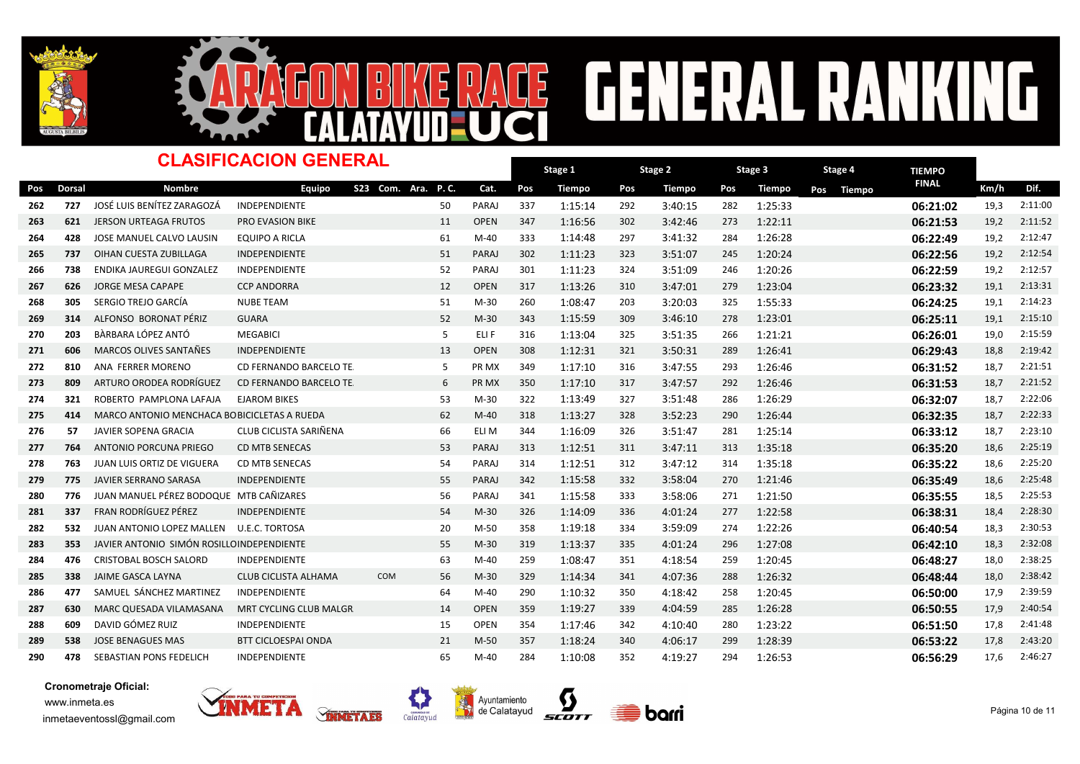



### Dorsal Nombre TIEMPO -<br>Pos Dorsal Nombre Equipo S23 Com. Ara. P.C. Cat. Pos Tiempo Pos Tiempo Pos Tiempo Pos Tiempo <sup>FINAL</sup> Km/h Dif. Stage 1 Pos Tiempo Pos Tiempo Pos Tiempo Pos Tiempo Dinalel Km/h Stage 2 Pos Tiempo Stage 3 Pos Tiempo CLASIFICACION GENERAL S23 Com. Ara. P. C. Stage 4 <sup>262</sup> <sup>727</sup> JOSÉ LUIS BENÍTEZ ZARAGOZÁ INDEPENDIENTE PARAJ 337 <sup>50</sup> 1:15:14 <sup>292</sup> 3:40:15 <sup>282</sup> 1:25:33 06:21:02 19,3 2:11:00 263 621 JERSON URTEAGA FRUTOS PRO EVASION BIKE 11 OPEN 347 1:16:56 302 3:42:46 273 1:22:11 16:21:53 19,2 2:11:52 264 428 JOSE MANUEL CALVO LAUSIN EQUIPO A RICLA 1993 61 M-40 333 1:14:48 297 3:41:32 284 1:26:28 1932 19,2 2:12:47 265 737 OIHAN CUESTA ZUBILLAGA INDEPENDIENTE 51 PARAJ 302 1:11:23 323 3:51:07 245 1:20:24 **06:22:56 06:22:56** 19,2 2:12:54 266 738 ENDIKA JAUREGUI GONZALEZ INDEPENDIENTE 20 1 1:22 101 1:11:23 324 3:51:09 246 1:20:26 206**:22:59 1**9,2 2:12:57 267 626 JORGE MESA CAPAPE CCP ANDORRA 12 OPEN 317 1:13:26 310 3:47:01 279 1:23:04 **06:23:32** 19,1 2:13:31 <sup>268</sup> <sup>305</sup> SERGIO TREJO GARCÍA NUBE TEAM M-30 260 <sup>51</sup> 1:08:47 <sup>203</sup> 3:20:03 <sup>325</sup> 1:55:33 06:24:25 19,1 2:14:23 <sup>269</sup> <sup>314</sup> ALFONSO BORONAT PÉRIZ GUARA M-30 343 <sup>52</sup> 1:15:59 <sup>309</sup> 3:46:10 <sup>278</sup> 1:23:01 06:25:11 19,1 2:15:10 <sup>270</sup> <sup>203</sup> BÀRBARA LÓPEZ ANTÓ MEGABICI ELI F 316 <sup>5</sup> 1:13:04 <sup>325</sup> 3:51:35 <sup>266</sup> 1:21:21 06:26:01 19,0 2:15:59 271 606 MARCOS OLIVES SANTAÑES INDEPENDIENTE 13 OPEN 308 1:12:31 321 3:50:31 289 1:26:41 126:41 **06:29:43** 18,8 2:19:42 272 810 ANA FERRER MORENO CD FERNANDO BARCELO TE 6 PR MX 349 1:17:10 316 3:47:55 293 1:26:46 **06:31:52** 18,7 2:21:51 273 809 ARTURO ORODEA RODRÍGUEZ CD FERNANDO BARCELO TE 6 PR MX 350 1:17:10 317 3:47:57 292 1:26:46 **06:31:53** 18,7 2:21:52 <sup>274</sup> <sup>321</sup> ROBERTO PAMPLONA LAFAJA EJAROM BIKES M-30 322 <sup>53</sup> 1:13:49 <sup>327</sup> 3:51:48 <sup>286</sup> 1:26:29 06:32:07 18,7 2:22:06 275 414 MARCO ANTONIO MENCHACA BOBICICLETAS A RUEDA 62 M-40 318 1:13:27 328 3:52:23 290 1:26:44 **06:32:35** 18,7 2:22:33 276 57 JAVIER SOPENA GRACIA CLUB CICLISTA SARIÑENA 66 ELI M 344 1:16:09 326 3:51:47 281 1:25:14 120 16:33:12 18,7 2:23:10 277 764 ANTONIO PORCUNA PRIEGO CD MTB SENECAS 6 1:00 133 9 2:47:51 311 3:47:11 313 1:35:18 1:35:18 **06:35:20** 18,6 2:25:19 278 763 JUAN LUIS ORTIZ DE VIGUERA CD MTB SENECAS REARAS 54 PARAJ 314 1:12:51 312 3:47:12 314 1:35:18 **06:35:22 18,**6 2:25:20 279 775 JAVIER SERRANO SARASA INDEPENDIENTE 1980 1999 1999 55 PARAJ 342 1:15:58 332 3:58:04 270 1:21:46 11:15:46 06:35:49 18,6 2:25:48 280 776 JUAN MANUEL PÉREZ BODOQUE MTB CAÑIZARES **PARAJ 36 1:15:58 333 3:58:06** 271 1:21:50 **06:35:55** 18,5 2:25:53 <sup>281</sup> <sup>337</sup> FRAN RODRÍGUEZ PÉREZ INDEPENDIENTE M-30 326 <sup>54</sup> 1:14:09 <sup>336</sup> 4:01:24 <sup>277</sup> 1:22:58 06:38:31 18,4 2:28:30 <sup>282</sup> <sup>532</sup> JUAN ANTONIO LOPEZ MALLEN U.E.C. TORTOSA M-50 358 <sup>20</sup> 1:19:18 <sup>334</sup> 3:59:09 <sup>274</sup> 1:22:26 06:40:54 18,3 2:30:53 283 353 JAVIER ANTONIO SIMÓN ROSILLOINDEPENDIENTE 6 61 1:25 1:25 1:25 1:25:37 1:25:37 2:37 2:37 335 4:01:24 296 1:27:08 06:42:10 18,3 2:32:08 284 476 CRISTOBAL BOSCH SALORD INDEPENDIENTE 63 M-40 259 1:08:47 351 4:18:54 259 1:20:45 **06:48:27** 18,0 2:38:25 <sup>285</sup> <sup>338</sup> JAIME GASCA LAYNA CLUB CICLISTA ALHAMA M-30 329 COM <sup>56</sup> 1:14:34 <sup>341</sup> 4:07:36 <sup>288</sup> 1:26:32 06:48:44 18,0 2:38:42 <sup>286</sup> <sup>477</sup> SAMUEL SÁNCHEZ MARTINEZ INDEPENDIENTE M-40 290 <sup>64</sup> 1:10:32 <sup>350</sup> 4:18:42 <sup>258</sup> 1:20:45 06:50:00 17,9 2:39:59 287 630 MARC QUESADA VILAMASANA MRT CYCLING CLUB MALGR 14 OPEN 359 1:19:27 339 4:04:59 285 1:26:28 06:50:55 17,9 2:40:54 288 609 DAVID GÓMEZ RUIZ INDEPENDIENTE 15 OPEN 354 1:17:46 342 4:10:40 280 1:23:22 **06:51:50** 17,8 2:41:48 289 538 JOSE BENAGUES MAS BTT CICLOESPAI ONDA 21 M-50 357 1:18:24 340 4:06:17 299 1:28:39 06:53:22 17,8 2:43:20 290 478 SEBASTIAN PONS FEDELICH INDEPENDIENTE 1990 1994 65 M-40 284 1:10:08 352 4:19:27 294 1:26:53 11/6 2:46:29 17,6 2:46:27